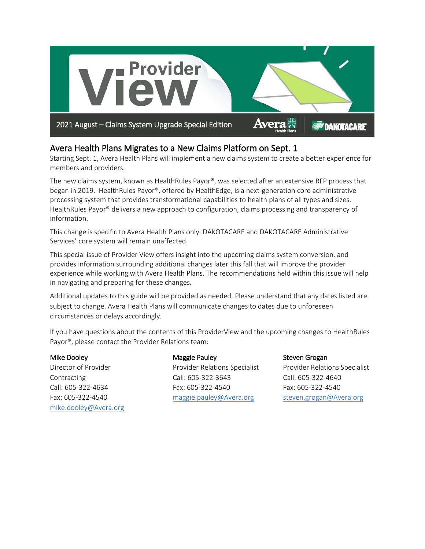

## Avera Health Plans Migrates to a New Claims Platform on Sept. 1

Starting Sept. 1, Avera Health Plans will implement a new claims system to create a better experience for members and providers.

The new claims system, known as HealthRules Payor®, was selected after an extensive RFP process that began in 2019. HealthRules Payor®, offered by HealthEdge, is a next-generation core administrative processing system that provides transformational capabilities to health plans of all types and sizes. HealthRules Payor® delivers a new approach to configuration, claims processing and transparency of information.

This change is specific to Avera Health Plans only. DAKOTACARE and DAKOTACARE Administrative Services' core system will remain unaffected.

This special issue of Provider View offers insight into the upcoming claims system conversion, and provides information surrounding additional changes later this fall that will improve the provider experience while working with Avera Health Plans. The recommendations held within this issue will help in navigating and preparing for these changes.

Additional updates to this guide will be provided as needed. Please understand that any dates listed are subject to change. Avera Health Plans will communicate changes to dates due to unforeseen circumstances or delays accordingly.

If you have questions about the contents of this ProviderView and the upcoming changes to HealthRules Payor®, please contact the Provider Relations team:

#### Mike Dooley

Director of Provider Contracting Call: 605-322-4634 Fax: 605-322-4540 [mike.dooley@Avera.org](mailto:mike.dooley@Avera.org)

#### Maggie Pauley

Provider Relations Specialist Call: 605-322-3643 Fax: 605-322-4540 [maggie.pauley@Avera.org](mailto:maggie.pauley@Avera.org)

#### Steven Grogan

Provider Relations Specialist Call: 605-322-4640 Fax: 605-322-4540 [steven.grogan@Avera.org](mailto:steven.grogan@Avera.org)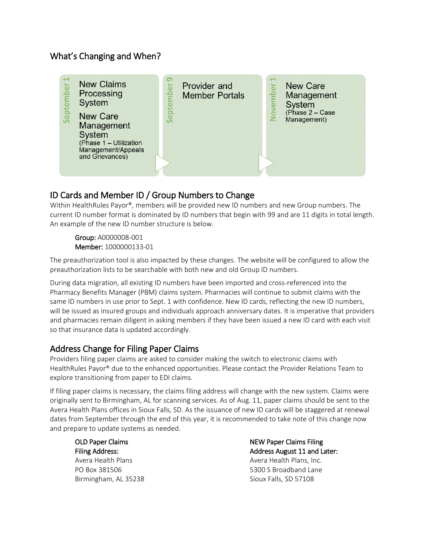### What's Changing and When?



## ID Cards and Member ID / Group Numbers to Change

Within HealthRules Payor®, members will be provided new ID numbers and new Group numbers. The current ID number format is dominated by ID numbers that begin with 99 and are 11 digits in total length. An example of the new ID number structure is below.

Group: A0000008-001 Member: 1000000133-01

The preauthorization tool is also impacted by these changes. The website will be configured to allow the preauthorization lists to be searchable with both new and old Group ID numbers.

During data migration, all existing ID numbers have been imported and cross-referenced into the Pharmacy Benefits Manager (PBM) claims system. Pharmacies will continue to submit claims with the same ID numbers in use prior to Sept. 1 with confidence. New ID cards, reflecting the new ID numbers, will be issued as insured groups and individuals approach anniversary dates. It is imperative that providers and pharmacies remain diligent in asking members if they have been issued a new ID card with each visit so that insurance data is updated accordingly.

# Address Change for Filing Paper Claims

Providers filing paper claims are asked to consider making the switch to electronic claims with HealthRules Payor® due to the enhanced opportunities. Please contact the Provider Relations Team to explore transitioning from paper to EDI claims.

If filing paper claims is necessary, the claims filing address will change with the new system. Claims were originally sent to Birmingham, AL for scanning services. As of Aug. 11, paper claims should be sent to the Avera Health Plans offices in Sioux Falls, SD. As the issuance of new ID cards will be staggered at renewal dates from September through the end of this year, it is recommended to take note of this change now and prepare to update systems as needed.

OLD Paper Claims Filing Address: Avera Health Plans PO Box 381506 Birmingham, AL 35238 NEW Paper Claims Filing Address August 11 and Later: Avera Health Plans, Inc. 5300 S Broadband Lane Sioux Falls, SD 57108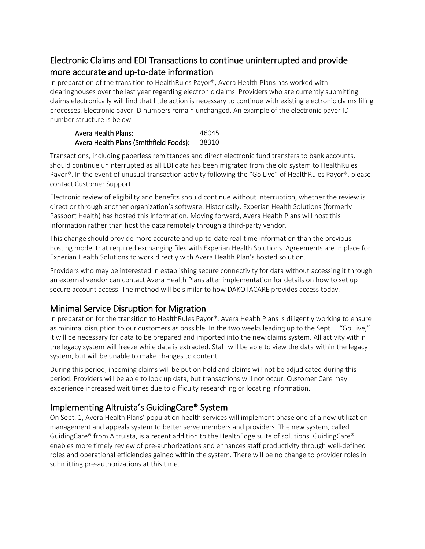# Electronic Claims and EDI Transactions to continue uninterrupted and provide more accurate and up-to-date information

In preparation of the transition to HealthRules Payor®, Avera Health Plans has worked with clearinghouses over the last year regarding electronic claims. Providers who are currently submitting claims electronically will find that little action is necessary to continue with existing electronic claims filing processes. Electronic payer ID numbers remain unchanged. An example of the electronic payer ID number structure is below.

| Avera Health Plans:                    | 46045 |
|----------------------------------------|-------|
| Avera Health Plans (Smithfield Foods): | 38310 |

Transactions, including paperless remittances and direct electronic fund transfers to bank accounts, should continue uninterrupted as all EDI data has been migrated from the old system to HealthRules Payor®. In the event of unusual transaction activity following the "Go Live" of HealthRules Payor®, please contact Customer Support.

Electronic review of eligibility and benefits should continue without interruption, whether the review is direct or through another organization's software. Historically, Experian Health Solutions (formerly Passport Health) has hosted this information. Moving forward, Avera Health Plans will host this information rather than host the data remotely through a third-party vendor.

This change should provide more accurate and up-to-date real-time information than the previous hosting model that required exchanging files with Experian Health Solutions. Agreements are in place for Experian Health Solutions to work directly with Avera Health Plan's hosted solution.

Providers who may be interested in establishing secure connectivity for data without accessing it through an external vendor can contact Avera Health Plans after implementation for details on how to set up secure account access. The method will be similar to how DAKOTACARE provides access today.

### Minimal Service Disruption for Migration

In preparation for the transition to HealthRules Payor®, Avera Health Plans is diligently working to ensure as minimal disruption to our customers as possible. In the two weeks leading up to the Sept. 1 "Go Live," it will be necessary for data to be prepared and imported into the new claims system. All activity within the legacy system will freeze while data is extracted. Staff will be able to view the data within the legacy system, but will be unable to make changes to content.

During this period, incoming claims will be put on hold and claims will not be adjudicated during this period. Providers will be able to look up data, but transactions will not occur. Customer Care may experience increased wait times due to difficulty researching or locating information.

# Implementing Altruista's GuidingCare® System

On Sept. 1, Avera Health Plans' population health services will implement phase one of a new utilization management and appeals system to better serve members and providers. The new system, called GuidingCare® from Altruista, is a recent addition to the HealthEdge suite of solutions. GuidingCare® enables more timely review of pre-authorizations and enhances staff productivity through well-defined roles and operational efficiencies gained within the system. There will be no change to provider roles in submitting pre-authorizations at this time.